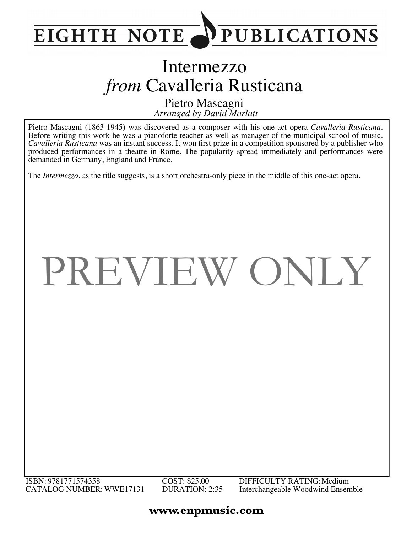

## Intermezzo *from* Cavalleria Rusticana

*Arranged by David Marlatt* Pietro Mascagni

Pietro Mascagni (1863-1945) was discovered as a composer with his one-act opera *Cavalleria Rusticana*. Before writing this work he was a pianoforte teacher as well as manager of the municipal school of music. *Cavalleria Rusticana* was an instant success. It won first prize in a competition sponsored by a publisher who produced performances in a theatre in Rome. The popularity spread immediately and performances were demanded in Germany, England and France.

The *Intermezzo*, as the title suggests, is a short orchestra-only piece in the middle of this one-act opera.

## PREVIEW ONLY

## **www.enpmusic.com**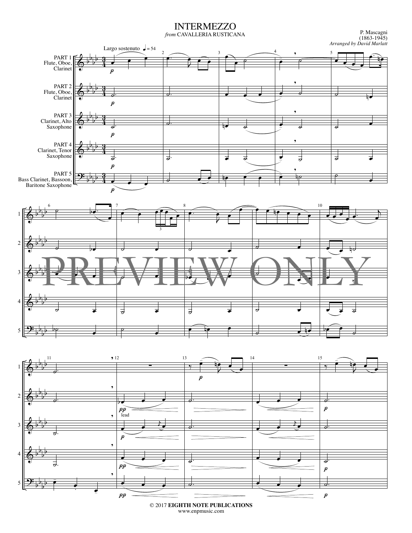INTERMEZZO

*from* CAVALLERIA RUSTICANA

(1863-1945) *Arranged by David Marlatt*



© 2017 **EIGHTH NOTE PUBLICATIONS** www.enpmusic.com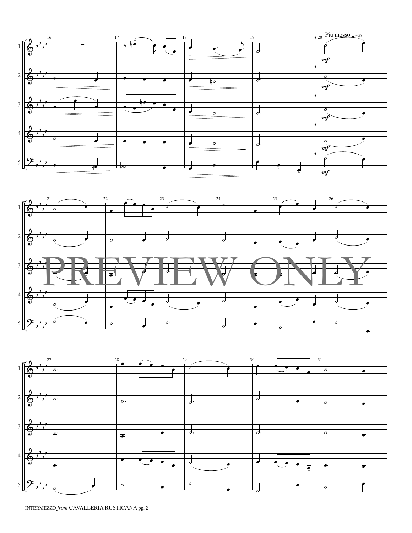





INTERMEZZO *from* CAVALLERIA RUSTICANA pg. 2